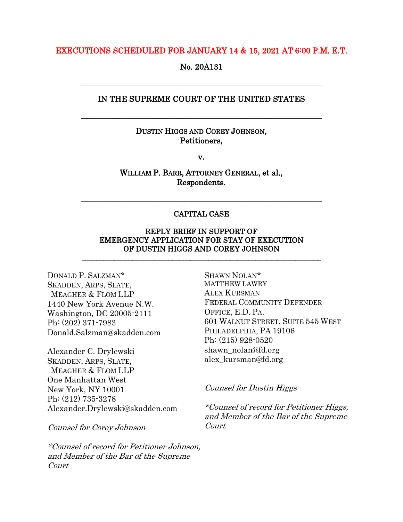### EXECUTIONS SCHEDULED FOR JANUARY 14 & 15, 2021 AT 6:00 P.M. E.T.

No. 20A131

# IN THE SUPREME COURT OF THE UNITED STATES

\_\_\_\_\_\_\_\_\_\_\_\_\_\_\_\_\_\_\_\_\_\_\_\_\_\_\_\_\_\_\_\_\_\_\_\_\_\_\_\_\_\_\_\_\_\_\_\_\_\_\_\_\_\_\_\_\_\_\_\_\_

\_\_\_\_\_\_\_\_\_\_\_\_\_\_\_\_\_\_\_\_\_\_\_\_\_\_\_\_\_\_\_\_\_\_\_\_\_\_\_\_\_\_\_\_\_\_\_\_\_\_\_\_\_\_\_\_\_\_\_\_\_

## DUSTIN HIGGS AND COREY JOHNSON, Petitioners,

v.

WILLIAM P. BARR, ATTORNEY GENERAL, et al., Respondents.

## CAPITAL CASE

\_\_\_\_\_\_\_\_\_\_\_\_\_\_\_\_\_\_\_\_\_\_\_\_\_\_\_\_\_\_\_\_\_\_\_\_\_\_\_\_\_\_\_\_\_\_\_\_\_\_\_\_\_\_\_\_\_\_\_\_\_

## REPLY BRIEF IN SUPPORT OF EMERGENCY APPLICATION FOR STAY OF EXECUTION OF DUSTIN HIGGS AND COREY JOHNSON

\_\_\_\_\_\_\_\_\_\_\_\_\_\_\_\_\_\_\_\_\_\_\_\_\_\_\_\_\_\_\_\_\_\_\_\_\_\_\_\_\_\_\_\_\_\_\_\_\_\_\_\_\_\_\_\_\_\_\_\_\_\_\_\_\_\_

DONALD P. SALZMAN\* SKADDEN, ARPS, SLATE, MEAGHER & FLOM LLP 1440 New York Avenue N.W. Washington, DC 20005-2111 Ph: (202) 371-7983 Donald.Salzman@skadden.com

Alexander C. Drylewski SKADDEN, ARPS, SLATE, MEAGHER & FLOM LLP One Manhattan West New York, NY 10001 Ph: (212) 735-3278 Alexander.Drylewski@skadden.com

Counsel for Corey Johnson

\*Counsel of record for Petitioner Johnson, and Member of the Bar of the Supreme Court

SHAWN NOLAN\* MATTHEW LAWRY ALEX KURSMAN FEDERAL COMMUNITY DEFENDER OFFICE, E.D. PA. 601 WALNUT STREET, SUITE 545 WEST PHILADELPHIA, PA 19106 Ph: (215) 928-0520 shawn\_nolan@fd.org alex\_kursman@fd.org

## Counsel for Dustin Higgs

\*Counsel of record for Petitioner Higgs, and Member of the Bar of the Supreme Court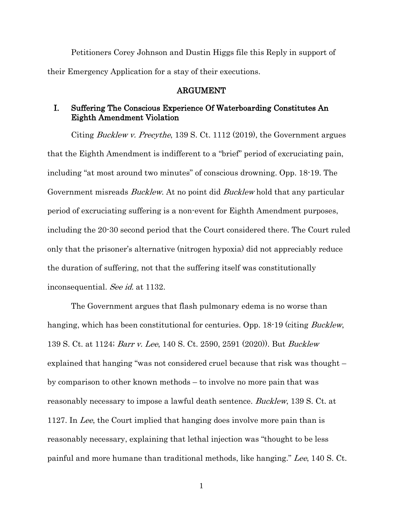Petitioners Corey Johnson and Dustin Higgs file this Reply in support of their Emergency Application for a stay of their executions.

### ARGUMENT

# I. Suffering The Conscious Experience Of Waterboarding Constitutes An Eighth Amendment Violation

Citing Bucklew v. Precythe, 139 S. Ct. 1112 (2019), the Government argues that the Eighth Amendment is indifferent to a "brief" period of excruciating pain, including "at most around two minutes" of conscious drowning. Opp. 18-19. The Government misreads Bucklew. At no point did Bucklew hold that any particular period of excruciating suffering is a non-event for Eighth Amendment purposes, including the 20-30 second period that the Court considered there. The Court ruled only that the prisoner's alternative (nitrogen hypoxia) did not appreciably reduce the duration of suffering, not that the suffering itself was constitutionally inconsequential. See id. at 1132.

The Government argues that flash pulmonary edema is no worse than hanging, which has been constitutional for centuries. Opp. 18-19 (citing *Bucklew*, 139 S. Ct. at 1124; Barr v. Lee, 140 S. Ct. 2590, 2591 (2020)). But Bucklew explained that hanging "was not considered cruel because that risk was thought – by comparison to other known methods – to involve no more pain that was reasonably necessary to impose a lawful death sentence. Bucklew, 139 S. Ct. at 1127. In Lee, the Court implied that hanging does involve more pain than is reasonably necessary, explaining that lethal injection was "thought to be less painful and more humane than traditional methods, like hanging." Lee, 140 S. Ct.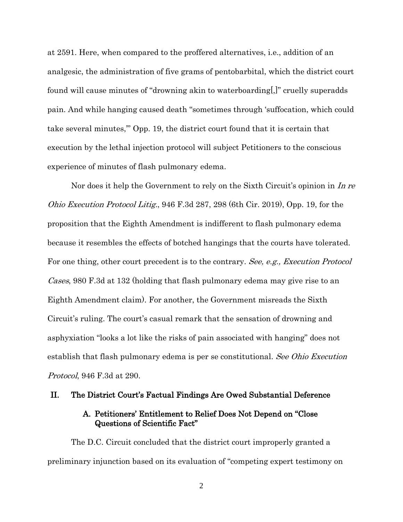at 2591. Here, when compared to the proffered alternatives, i.e., addition of an analgesic, the administration of five grams of pentobarbital, which the district court found will cause minutes of "drowning akin to waterboarding[,]" cruelly superadds pain. And while hanging caused death "sometimes through 'suffocation, which could take several minutes,'" Opp. 19, the district court found that it is certain that execution by the lethal injection protocol will subject Petitioners to the conscious experience of minutes of flash pulmonary edema.

Nor does it help the Government to rely on the Sixth Circuit's opinion in In re Ohio Execution Protocol Litig., 946 F.3d 287, 298 (6th Cir. 2019), Opp. 19, for the proposition that the Eighth Amendment is indifferent to flash pulmonary edema because it resembles the effects of botched hangings that the courts have tolerated. For one thing, other court precedent is to the contrary. See, e.g., Execution Protocol Cases, 980 F.3d at 132 (holding that flash pulmonary edema may give rise to an Eighth Amendment claim). For another, the Government misreads the Sixth Circuit's ruling. The court's casual remark that the sensation of drowning and asphyxiation "looks a lot like the risks of pain associated with hanging" does not establish that flash pulmonary edema is per se constitutional. See Ohio Execution Protocol, 946 F.3d at 290.

### II. The District Court's Factual Findings Are Owed Substantial Deference

# A. Petitioners' Entitlement to Relief Does Not Depend on "Close Questions of Scientific Fact"

The D.C. Circuit concluded that the district court improperly granted a preliminary injunction based on its evaluation of "competing expert testimony on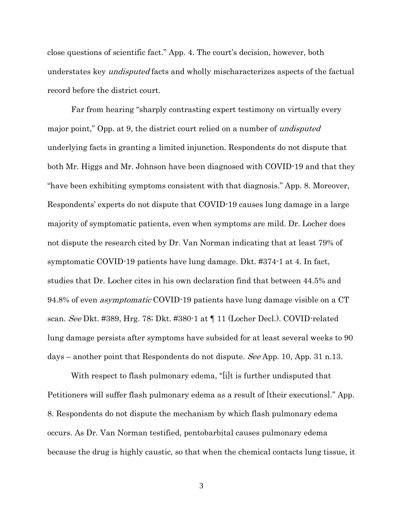close questions of scientific fact." App. 4. The court's decision, however, both understates key *undisputed* facts and wholly mischaracterizes aspects of the factual record before the district court.

Far from hearing "sharply contrasting expert testimony on virtually every major point," Opp. at 9, the district court relied on a number of *undisputed* underlying facts in granting a limited injunction. Respondents do not dispute that both Mr. Higgs and Mr. Johnson have been diagnosed with COVID-19 and that they "have been exhibiting symptoms consistent with that diagnosis." App. 8. Moreover, Respondents' experts do not dispute that COVID-19 causes lung damage in a large majority of symptomatic patients, even when symptoms are mild. Dr. Locher does not dispute the research cited by Dr. Van Norman indicating that at least 79% of symptomatic COVID-19 patients have lung damage. Dkt. #374-1 at 4. In fact, studies that Dr. Locher cites in his own declaration find that between 44.5% and 94.8% of even asymptomatic COVID-19 patients have lung damage visible on a CT scan. See Dkt. #389, Hrg. 78; Dkt. #380-1 at ¶ 11 (Locher Decl.). COVID-related lung damage persists after symptoms have subsided for at least several weeks to 90 days – another point that Respondents do not dispute. See App. 10, App. 31 n.13.

With respect to flash pulmonary edema, "[i]t is further undisputed that Petitioners will suffer flash pulmonary edema as a result of [their executions]." App. 8. Respondents do not dispute the mechanism by which flash pulmonary edema occurs. As Dr. Van Norman testified, pentobarbital causes pulmonary edema because the drug is highly caustic, so that when the chemical contacts lung tissue, it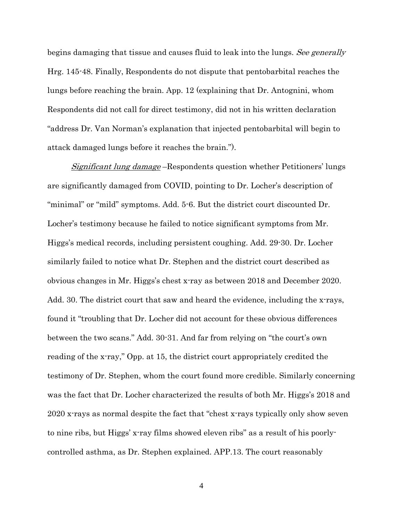begins damaging that tissue and causes fluid to leak into the lungs. See generally Hrg. 145-48. Finally, Respondents do not dispute that pentobarbital reaches the lungs before reaching the brain. App. 12 (explaining that Dr. Antognini, whom Respondents did not call for direct testimony, did not in his written declaration "address Dr. Van Norman's explanation that injected pentobarbital will begin to attack damaged lungs before it reaches the brain.").

Significant lung damage –Respondents question whether Petitioners' lungs are significantly damaged from COVID, pointing to Dr. Locher's description of "minimal" or "mild" symptoms. Add. 5-6. But the district court discounted Dr. Locher's testimony because he failed to notice significant symptoms from Mr. Higgs's medical records, including persistent coughing. Add. 29-30. Dr. Locher similarly failed to notice what Dr. Stephen and the district court described as obvious changes in Mr. Higgs's chest x-ray as between 2018 and December 2020. Add. 30. The district court that saw and heard the evidence, including the x-rays, found it "troubling that Dr. Locher did not account for these obvious differences between the two scans." Add. 30-31. And far from relying on "the court's own reading of the x-ray," Opp. at 15, the district court appropriately credited the testimony of Dr. Stephen, whom the court found more credible. Similarly concerning was the fact that Dr. Locher characterized the results of both Mr. Higgs's 2018 and 2020 x-rays as normal despite the fact that "chest x-rays typically only show seven to nine ribs, but Higgs' x-ray films showed eleven ribs" as a result of his poorlycontrolled asthma, as Dr. Stephen explained. APP.13. The court reasonably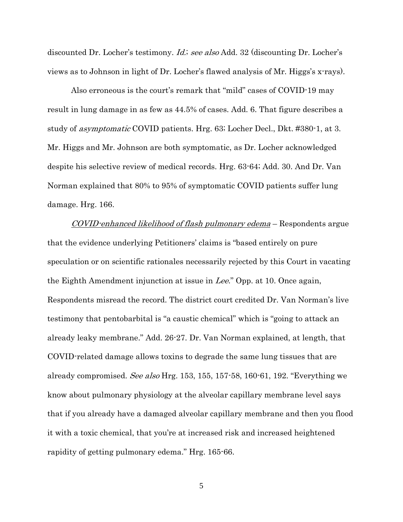discounted Dr. Locher's testimony. *Id.; see also* Add. 32 (discounting Dr. Locher's views as to Johnson in light of Dr. Locher's flawed analysis of Mr. Higgs's x-rays).

Also erroneous is the court's remark that "mild" cases of COVID-19 may result in lung damage in as few as 44.5% of cases. Add. 6. That figure describes a study of asymptomatic COVID patients. Hrg. 63; Locher Decl., Dkt. #380-1, at 3. Mr. Higgs and Mr. Johnson are both symptomatic, as Dr. Locher acknowledged despite his selective review of medical records. Hrg. 63-64; Add. 30. And Dr. Van Norman explained that 80% to 95% of symptomatic COVID patients suffer lung damage. Hrg. 166.

COVID-enhanced likelihood of flash pulmonary edema – Respondents argue that the evidence underlying Petitioners' claims is "based entirely on pure speculation or on scientific rationales necessarily rejected by this Court in vacating the Eighth Amendment injunction at issue in Lee." Opp. at 10. Once again, Respondents misread the record. The district court credited Dr. Van Norman's live testimony that pentobarbital is "a caustic chemical" which is "going to attack an already leaky membrane." Add. 26-27. Dr. Van Norman explained, at length, that COVID-related damage allows toxins to degrade the same lung tissues that are already compromised. See also Hrg. 153, 155, 157-58, 160-61, 192. "Everything we know about pulmonary physiology at the alveolar capillary membrane level says that if you already have a damaged alveolar capillary membrane and then you flood it with a toxic chemical, that you're at increased risk and increased heightened rapidity of getting pulmonary edema." Hrg. 165-66.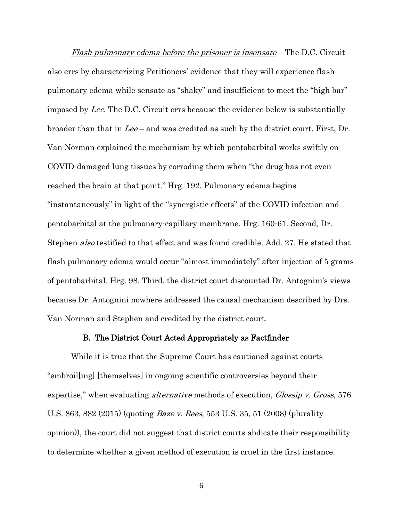Flash pulmonary edema before the prisoner is insensate – The D.C. Circuit also errs by characterizing Petitioners' evidence that they will experience flash pulmonary edema while sensate as "shaky" and insufficient to meet the "high bar" imposed by Lee. The D.C. Circuit errs because the evidence below is substantially broader than that in Lee – and was credited as such by the district court. First, Dr. Van Norman explained the mechanism by which pentobarbital works swiftly on COVID-damaged lung tissues by corroding them when "the drug has not even reached the brain at that point." Hrg. 192. Pulmonary edema begins "instantaneously" in light of the "synergistic effects" of the COVID infection and pentobarbital at the pulmonary-capillary membrane. Hrg. 160-61. Second, Dr. Stephen also testified to that effect and was found credible. Add. 27. He stated that flash pulmonary edema would occur "almost immediately" after injection of 5 grams of pentobarbital. Hrg. 98. Third, the district court discounted Dr. Antognini's views because Dr. Antognini nowhere addressed the causal mechanism described by Drs. Van Norman and Stephen and credited by the district court.

#### B. The District Court Acted Appropriately as Factfinder

While it is true that the Supreme Court has cautioned against courts "embroil[ing] [themselves] in ongoing scientific controversies beyond their expertise," when evaluating *alternative* methods of execution, *Glossip v. Gross*, 576 U.S. 863, 882 (2015) (quoting Baze v. Rees, 553 U.S. 35, 51 (2008) (plurality opinion)), the court did not suggest that district courts abdicate their responsibility to determine whether a given method of execution is cruel in the first instance.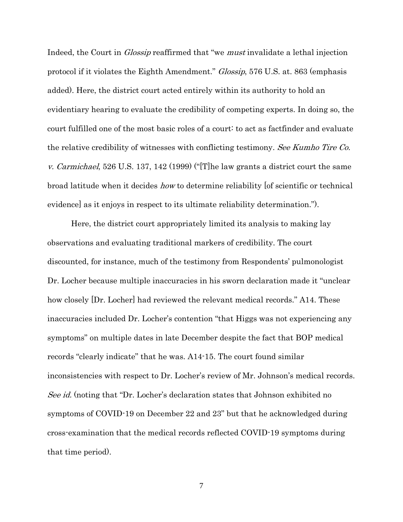Indeed, the Court in *Glossip* reaffirmed that "we *must* invalidate a lethal injection protocol if it violates the Eighth Amendment." *Glossip*, 576 U.S. at. 863 (emphasis added). Here, the district court acted entirely within its authority to hold an evidentiary hearing to evaluate the credibility of competing experts. In doing so, the court fulfilled one of the most basic roles of a court: to act as factfinder and evaluate the relative credibility of witnesses with conflicting testimony. See Kumho Tire Co. *v. Carmichael*, 526 U.S. 137, 142 (1999) ("[T]he law grants a district court the same broad latitude when it decides *how* to determine reliability of scientific or technical evidence] as it enjoys in respect to its ultimate reliability determination.").

Here, the district court appropriately limited its analysis to making lay observations and evaluating traditional markers of credibility. The court discounted, for instance, much of the testimony from Respondents' pulmonologist Dr. Locher because multiple inaccuracies in his sworn declaration made it "unclear how closely [Dr. Locher] had reviewed the relevant medical records." A14. These inaccuracies included Dr. Locher's contention "that Higgs was not experiencing any symptoms" on multiple dates in late December despite the fact that BOP medical records "clearly indicate" that he was. A14-15. The court found similar inconsistencies with respect to Dr. Locher's review of Mr. Johnson's medical records. See id. (noting that "Dr. Locher's declaration states that Johnson exhibited no symptoms of COVID-19 on December 22 and 23" but that he acknowledged during cross-examination that the medical records reflected COVID-19 symptoms during that time period).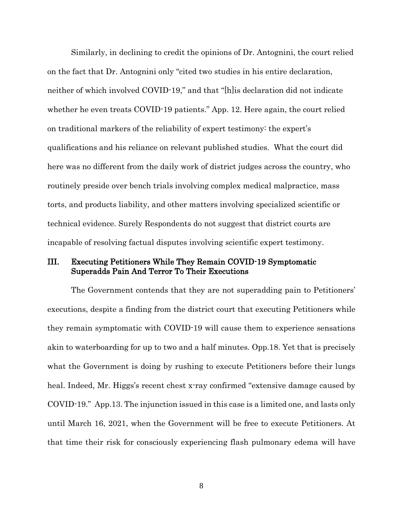Similarly, in declining to credit the opinions of Dr. Antognini, the court relied on the fact that Dr. Antognini only "cited two studies in his entire declaration, neither of which involved COVID-19," and that "[h]is declaration did not indicate whether he even treats COVID-19 patients." App. 12. Here again, the court relied on traditional markers of the reliability of expert testimony: the expert's qualifications and his reliance on relevant published studies. What the court did here was no different from the daily work of district judges across the country, who routinely preside over bench trials involving complex medical malpractice, mass torts, and products liability, and other matters involving specialized scientific or technical evidence. Surely Respondents do not suggest that district courts are incapable of resolving factual disputes involving scientific expert testimony.

# III. Executing Petitioners While They Remain COVID-19 Symptomatic Superadds Pain And Terror To Their Executions

The Government contends that they are not superadding pain to Petitioners' executions, despite a finding from the district court that executing Petitioners while they remain symptomatic with COVID-19 will cause them to experience sensations akin to waterboarding for up to two and a half minutes. Opp.18. Yet that is precisely what the Government is doing by rushing to execute Petitioners before their lungs heal. Indeed, Mr. Higgs's recent chest x-ray confirmed "extensive damage caused by COVID-19." App.13. The injunction issued in this case is a limited one, and lasts only until March 16, 2021, when the Government will be free to execute Petitioners. At that time their risk for consciously experiencing flash pulmonary edema will have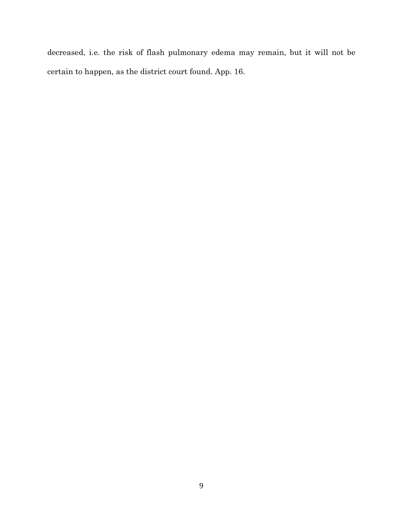decreased, i.e. the risk of flash pulmonary edema may remain, but it will not be certain to happen, as the district court found. App. 16.